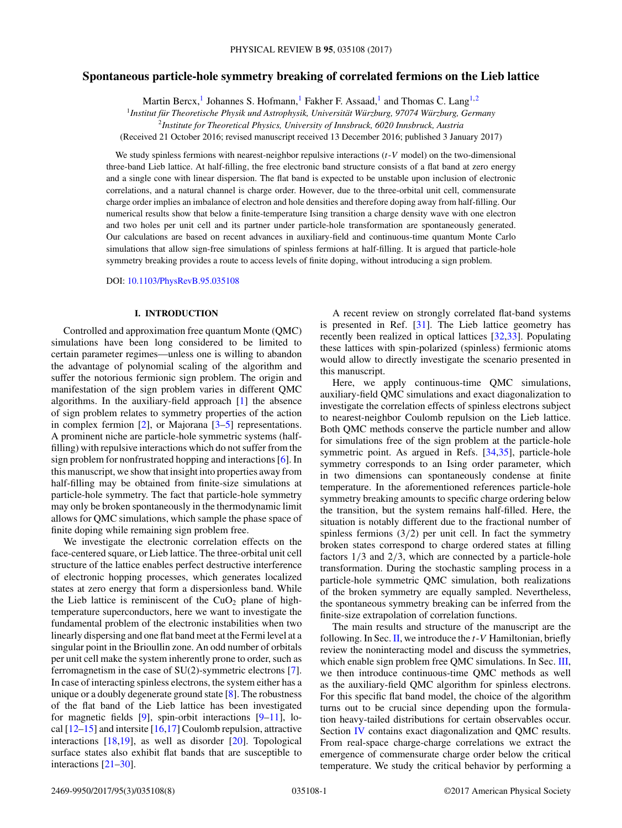# **Spontaneous particle-hole symmetry breaking of correlated fermions on the Lieb lattice**

Martin Bercx,<sup>1</sup> Johannes S. Hofmann,<sup>1</sup> Fakher F. Assaad,<sup>1</sup> and Thomas C. Lang<sup>1,2</sup>

<sup>1</sup>*Institut fur Theoretische Physik und Astrophysik, Universit ¨ at W¨ urzburg, 97074 W ¨ urzburg, Germany ¨*

<sup>2</sup>*Institute for Theoretical Physics, University of Innsbruck, 6020 Innsbruck, Austria*

(Received 21 October 2016; revised manuscript received 13 December 2016; published 3 January 2017)

We study spinless fermions with nearest-neighbor repulsive interactions (*t*-*V* model) on the two-dimensional three-band Lieb lattice. At half-filling, the free electronic band structure consists of a flat band at zero energy and a single cone with linear dispersion. The flat band is expected to be unstable upon inclusion of electronic correlations, and a natural channel is charge order. However, due to the three-orbital unit cell, commensurate charge order implies an imbalance of electron and hole densities and therefore doping away from half-filling. Our numerical results show that below a finite-temperature Ising transition a charge density wave with one electron and two holes per unit cell and its partner under particle-hole transformation are spontaneously generated. Our calculations are based on recent advances in auxiliary-field and continuous-time quantum Monte Carlo simulations that allow sign-free simulations of spinless fermions at half-filling. It is argued that particle-hole symmetry breaking provides a route to access levels of finite doping, without introducing a sign problem.

DOI: [10.1103/PhysRevB.95.035108](https://doi.org/10.1103/PhysRevB.95.035108)

# **I. INTRODUCTION**

Controlled and approximation free quantum Monte (QMC) simulations have been long considered to be limited to certain parameter regimes—unless one is willing to abandon the advantage of polynomial scaling of the algorithm and suffer the notorious fermionic sign problem. The origin and manifestation of the sign problem varies in different QMC algorithms. In the auxiliary-field approach [\[1\]](#page-7-0) the absence of sign problem relates to symmetry properties of the action in complex fermion [\[2\]](#page-7-0), or Majorana [\[3–5\]](#page-7-0) representations. A prominent niche are particle-hole symmetric systems (halffilling) with repulsive interactions which do not suffer from the sign problem for nonfrustrated hopping and interactions [\[6\]](#page-7-0). In this manuscript, we show that insight into properties away from half-filling may be obtained from finite-size simulations at particle-hole symmetry. The fact that particle-hole symmetry may only be broken spontaneously in the thermodynamic limit allows for QMC simulations, which sample the phase space of finite doping while remaining sign problem free.

We investigate the electronic correlation effects on the face-centered square, or Lieb lattice. The three-orbital unit cell structure of the lattice enables perfect destructive interference of electronic hopping processes, which generates localized states at zero energy that form a dispersionless band. While the Lieb lattice is reminiscent of the  $CuO<sub>2</sub>$  plane of hightemperature superconductors, here we want to investigate the fundamental problem of the electronic instabilities when two linearly dispersing and one flat band meet at the Fermi level at a singular point in the Brioullin zone. An odd number of orbitals per unit cell make the system inherently prone to order, such as ferromagnetism in the case of SU(2)-symmetric electrons [\[7\]](#page-7-0). In case of interacting spinless electrons, the system either has a unique or a doubly degenerate ground state [\[8\]](#page-7-0). The robustness of the flat band of the Lieb lattice has been investigated for magnetic fields [\[9\]](#page-7-0), spin-orbit interactions [\[9–11\]](#page-7-0), local  $[12–15]$  and intersite  $[16,17]$  Coulomb repulsion, attractive interactions [\[18,19\]](#page-7-0), as well as disorder [\[20\]](#page-7-0). Topological surface states also exhibit flat bands that are susceptible to interactions [\[21–30\]](#page-7-0).

A recent review on strongly correlated flat-band systems is presented in Ref. [\[31\]](#page-7-0). The Lieb lattice geometry has recently been realized in optical lattices [\[32,33\]](#page-7-0). Populating these lattices with spin-polarized (spinless) fermionic atoms would allow to directly investigate the scenario presented in this manuscript.

Here, we apply continuous-time QMC simulations, auxiliary-field QMC simulations and exact diagonalization to investigate the correlation effects of spinless electrons subject to nearest-neighbor Coulomb repulsion on the Lieb lattice. Both QMC methods conserve the particle number and allow for simulations free of the sign problem at the particle-hole symmetric point. As argued in Refs. [\[34,35\]](#page-7-0), particle-hole symmetry corresponds to an Ising order parameter, which in two dimensions can spontaneously condense at finite temperature. In the aforementioned references particle-hole symmetry breaking amounts to specific charge ordering below the transition, but the system remains half-filled. Here, the situation is notably different due to the fractional number of spinless fermions (3*/*2) per unit cell. In fact the symmetry broken states correspond to charge ordered states at filling factors 1*/*3 and 2*/*3, which are connected by a particle-hole transformation. During the stochastic sampling process in a particle-hole symmetric QMC simulation, both realizations of the broken symmetry are equally sampled. Nevertheless, the spontaneous symmetry breaking can be inferred from the finite-size extrapolation of correlation functions.

The main results and structure of the manuscript are the following. In Sec. [II,](#page-1-0) we introduce the *t*-*V* Hamiltonian, briefly review the noninteracting model and discuss the symmetries, which enable sign problem free QMC simulations. In Sec. [III,](#page-1-0) we then introduce continuous-time QMC methods as well as the auxiliary-field QMC algorithm for spinless electrons. For this specific flat band model, the choice of the algorithm turns out to be crucial since depending upon the formulation heavy-tailed distributions for certain observables occur. Section [IV](#page-3-0) contains exact diagonalization and QMC results. From real-space charge-charge correlations we extract the emergence of commensurate charge order below the critical temperature. We study the critical behavior by performing a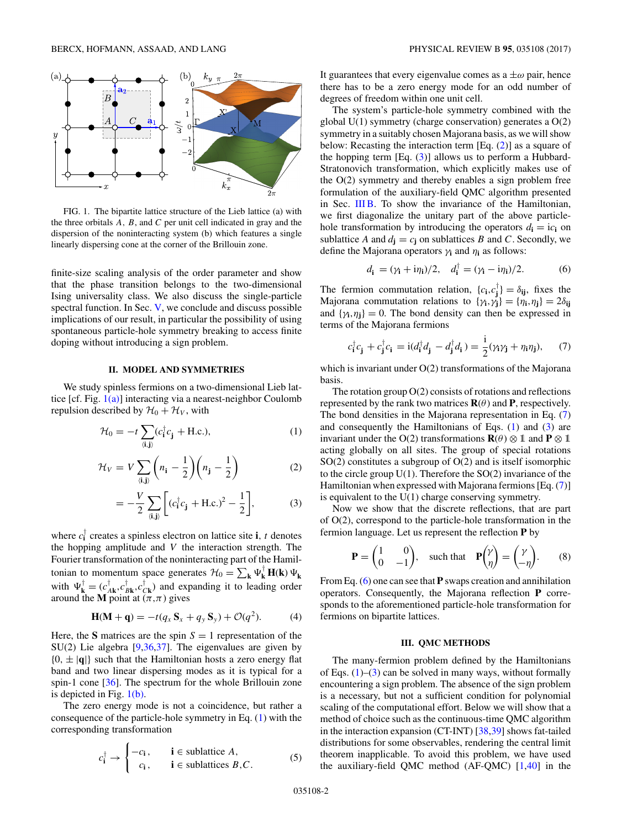<span id="page-1-0"></span>

FIG. 1. The bipartite lattice structure of the Lieb lattice (a) with the three orbitals *A, B*, and *C* per unit cell indicated in gray and the dispersion of the noninteracting system (b) which features a single linearly dispersing cone at the corner of the Brillouin zone.

finite-size scaling analysis of the order parameter and show that the phase transition belongs to the two-dimensional Ising universality class. We also discuss the single-particle spectral function. In Sec. [V,](#page-6-0) we conclude and discuss possible implications of our result, in particular the possibility of using spontaneous particle-hole symmetry breaking to access finite doping without introducing a sign problem.

#### **II. MODEL AND SYMMETRIES**

We study spinless fermions on a two-dimensional Lieb lattice [cf. Fig. 1(a)] interacting via a nearest-neighbor Coulomb repulsion described by  $\mathcal{H}_0 + \mathcal{H}_V$ , with

$$
\mathcal{H}_0 = -t \sum_{\langle \mathbf{i}, \mathbf{j} \rangle} (c_{\mathbf{i}}^\dagger c_{\mathbf{j}} + \text{H.c.}),\tag{1}
$$

$$
\mathcal{H}_V = V \sum_{\langle \mathbf{i}, \mathbf{j} \rangle} \left( n_{\mathbf{i}} - \frac{1}{2} \right) \left( n_{\mathbf{j}} - \frac{1}{2} \right) \tag{2}
$$

$$
= -\frac{V}{2} \sum_{(i,j)} \left[ (c_i^{\dagger} c_j + \text{H.c.})^2 - \frac{1}{2} \right],
$$
 (3)

where  $c_i^{\dagger}$  creates a spinless electron on lattice site **i**, t denotes the hopping amplitude and *V* the interaction strength. The Fourier transformation of the noninteracting part of the Hamiltonian to momentum space generates  $\mathcal{H}_0 = \sum_{\mathbf{k}} \Psi_{\mathbf{k}}^{\dagger} \mathbf{H}(\mathbf{k}) \Psi_{\mathbf{k}}$ with  $\Psi_{\mathbf{k}}^{\dagger} = (c_{A\mathbf{k}}^{\dagger}, c_{B\mathbf{k}}^{\dagger}, c_{C\mathbf{k}}^{\dagger})$  and expanding it to leading order around the **M** point at  $(\pi, \pi)$  gives

$$
\mathbf{H}(\mathbf{M} + \mathbf{q}) = -t(q_x \mathbf{S}_x + q_y \mathbf{S}_y) + \mathcal{O}(q^2).
$$
 (4)

Here, the **S** matrices are the spin  $S = 1$  representation of the SU(2) Lie algebra [\[9,36,37\]](#page-7-0). The eigenvalues are given by  $\{0, \pm |\mathbf{q}|\}$  such that the Hamiltonian hosts a zero energy flat band and two linear dispersing modes as it is typical for a spin-1 cone [\[36\]](#page-7-0). The spectrum for the whole Brillouin zone is depicted in Fig. 1(b).

The zero energy mode is not a coincidence, but rather a consequence of the particle-hole symmetry in Eq. (1) with the corresponding transformation

$$
c_{\mathbf{i}}^{\dagger} \rightarrow \begin{cases} -c_{\mathbf{i}}, & \mathbf{i} \in \text{sublattice } A, \\ c_{\mathbf{i}}, & \mathbf{i} \in \text{sublattice } B, C. \end{cases} \tag{5}
$$

It guarantees that every eigenvalue comes as  $a \pm \omega$  pair, hence there has to be a zero energy mode for an odd number of degrees of freedom within one unit cell.

The system's particle-hole symmetry combined with the global U(1) symmetry (charge conservation) generates a O(2) symmetry in a suitably chosen Majorana basis, as we will show below: Recasting the interaction term [Eq. (2)] as a square of the hopping term  $[Eq. (3)]$  allows us to perform a Hubbard-Stratonovich transformation, which explicitly makes use of the O(2) symmetry and thereby enables a sign problem free formulation of the auxiliary-field QMC algorithm presented in Sec. [III B.](#page-2-0) To show the invariance of the Hamiltonian, we first diagonalize the unitary part of the above particlehole transformation by introducing the operators  $d_i = ic_i$  on sublattice *A* and  $d$ **j** =  $c$ **j** on sublattices *B* and *C*. Secondly, we define the Majorana operators *γ***<sup>i</sup>** and *η***<sup>i</sup>** as follows:

$$
d_{\mathbf{i}} = (\gamma_{\mathbf{i}} + i\eta_{\mathbf{i}})/2, \quad d_{\mathbf{i}}^{\dagger} = (\gamma_{\mathbf{i}} - i\eta_{\mathbf{i}})/2.
$$
 (6)

The fermion commutation relation,  $\{c_i, c_j^{\dagger}\} = \delta_{ij}$ , fixes the Majorana commutation relations to  $\{\gamma_i, \gamma_j\} = \{\eta_i, \eta_j\} = 2\delta_{ij}$ and  $\{\gamma_i, \eta_i\} = 0$ . The bond density can then be expressed in terms of the Majorana fermions

$$
c_i^{\dagger} c_j + c_j^{\dagger} c_i = \mathrm{i} (d_i^{\dagger} d_j - d_j^{\dagger} d_i) = \frac{\mathrm{i}}{2} (\gamma \gamma_j + \eta_i \eta_j), \qquad (7)
$$

which is invariant under  $O(2)$  transformations of the Majorana basis.

The rotation group  $O(2)$  consists of rotations and reflections represented by the rank two matrices  $\mathbf{R}(\theta)$  and **P**, respectively. The bond densities in the Majorana representation in Eq. (7) and consequently the Hamiltonians of Eqs. (1) and (3) are invariant under the O(2) transformations  $\mathbf{R}(\theta) \otimes \mathbf{1}$  and  $\mathbf{P} \otimes \mathbf{1}$ acting globally on all sites. The group of special rotations SO(2) constitutes a subgroup of O(2) and is itself isomorphic to the circle group  $U(1)$ . Therefore the  $SO(2)$  invariance of the Hamiltonian when expressed with Majorana fermions [Eq. (7)] is equivalent to the  $U(1)$  charge conserving symmetry.

Now we show that the discrete reflections, that are part of O(2), correspond to the particle-hole transformation in the fermion language. Let us represent the reflection **P** by

$$
\mathbf{P} = \begin{pmatrix} 1 & 0 \\ 0 & -1 \end{pmatrix}, \quad \text{such that} \quad \mathbf{P} \begin{pmatrix} \gamma \\ \eta \end{pmatrix} = \begin{pmatrix} \gamma \\ -\eta \end{pmatrix}. \tag{8}
$$

From Eq. (6) one can see that **P** swaps creation and annihilation operators. Consequently, the Majorana reflection **P** corresponds to the aforementioned particle-hole transformation for fermions on bipartite lattices.

# **III. QMC METHODS**

The many-fermion problem defined by the Hamiltonians of Eqs.  $(1)$ – $(3)$  can be solved in many ways, without formally encountering a sign problem. The absence of the sign problem is a necessary, but not a sufficient condition for polynomial scaling of the computational effort. Below we will show that a method of choice such as the continuous-time QMC algorithm in the interaction expansion (CT-INT) [\[38,39\]](#page-7-0) shows fat-tailed distributions for some observables, rendering the central limit theorem inapplicable. To avoid this problem, we have used the auxiliary-field QMC method (AF-QMC) [\[1,40\]](#page-7-0) in the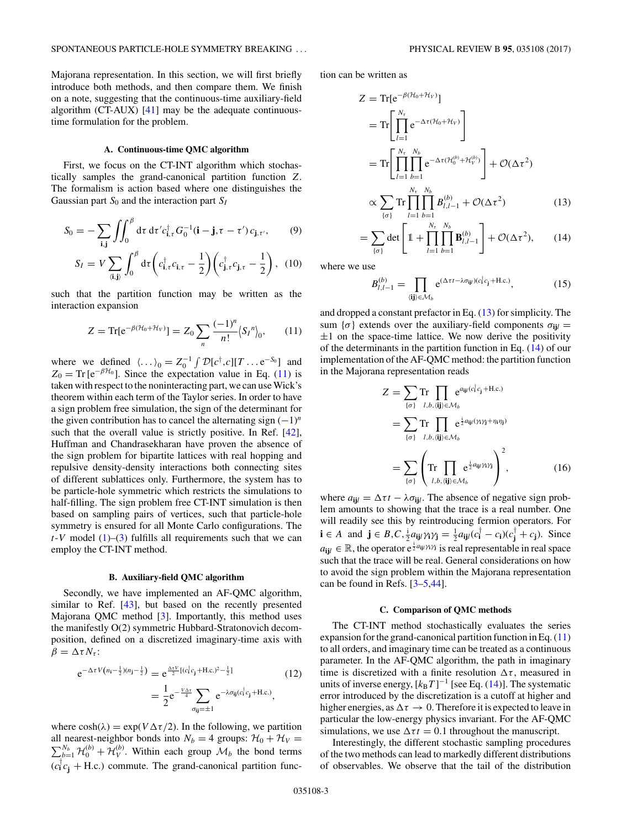<span id="page-2-0"></span>Majorana representation. In this section, we will first briefly introduce both methods, and then compare them. We finish on a note, suggesting that the continuous-time auxiliary-field algorithm (CT-AUX) [\[41\]](#page-7-0) may be the adequate continuoustime formulation for the problem.

# **A. Continuous-time QMC algorithm**

First, we focus on the CT-INT algorithm which stochastically samples the grand-canonical partition function *Z*. The formalism is action based where one distinguishes the Gaussian part  $S_0$  and the interaction part  $S_I$ 

$$
S_0 = -\sum_{\mathbf{i}, \mathbf{j}} \int \int_0^\beta d\tau \, d\tau' c_{\mathbf{i}, \tau}^\dagger G_0^{-1} (\mathbf{i} - \mathbf{j}, \tau - \tau') c_{\mathbf{j}, \tau'}, \qquad (9)
$$

$$
S_I = V \sum_{\langle \mathbf{i}, \mathbf{j} \rangle} \int_0^\beta d\tau \left( c_{\mathbf{i}, \tau}^\dagger c_{\mathbf{i}, \tau} - \frac{1}{2} \right) \left( c_{\mathbf{j}, \tau}^\dagger c_{\mathbf{j}, \tau} - \frac{1}{2} \right), \tag{10}
$$

such that the partition function may be written as the interaction expansion

$$
Z = \text{Tr}[e^{-\beta (H_0 + \mathcal{H}_V)}] = Z_0 \sum_{n} \frac{(-1)^n}{n!} \langle S_I^n \rangle_0, \qquad (11)
$$

where we defined  $\langle \dots \rangle_0 = Z_0^{-1} \int \mathcal{D}[c^\dagger, c][T \dots e^{-S_0}]$  and  $Z_0 = \text{Tr} [e^{-\beta \mathcal{H}_0}]$ . Since the expectation value in Eq. (11) is taken with respect to the noninteracting part, we can use Wick's theorem within each term of the Taylor series. In order to have a sign problem free simulation, the sign of the determinant for the given contribution has to cancel the alternating sign  $(-1)^n$ such that the overall value is strictly positive. In Ref.  $[42]$ , Huffman and Chandrasekharan have proven the absence of the sign problem for bipartite lattices with real hopping and repulsive density-density interactions both connecting sites of different sublattices only. Furthermore, the system has to be particle-hole symmetric which restricts the simulations to half-filling. The sign problem free CT-INT simulation is then based on sampling pairs of vertices, such that particle-hole symmetry is ensured for all Monte Carlo configurations. The  $t$ <sup>-</sup>*V* model [\(1\)](#page-1-0)–[\(3\)](#page-1-0) fulfills all requirements such that we can employ the CT-INT method.

### **B. Auxiliary-field QMC algorithm**

Secondly, we have implemented an AF-QMC algorithm, similar to Ref. [\[43\]](#page-7-0), but based on the recently presented Majorana QMC method [\[3\]](#page-7-0). Importantly, this method uses the manifestly O(2) symmetric Hubbard-Stratonovich decomposition, defined on a discretized imaginary-time axis with  $β = ΔτN<sub>τ</sub>$ :

$$
e^{-\Delta \tau V(n_i - \frac{1}{2})(n_j - \frac{1}{2})} = e^{\frac{\Delta \tau V}{2} [c_1^{\dagger} c_j + H.c.^{2} - \frac{1}{2}]}
$$
(12)  

$$
= \frac{1}{2} e^{-\frac{V \Delta \tau}{4}} \sum_{\sigma_{ij} = \pm 1} e^{-\lambda \sigma_{ij} (c_i^{\dagger} c_j + H.c.^{2})},
$$

where  $cosh(\lambda) = exp(V \Delta \tau/2)$ . In the following, we partition all nearest-neighbor bonds into  $N_b = 4$  groups:  $\mathcal{H}_0 + \mathcal{H}_V = \sum_{b=1}^{N_b} \mathcal{H}_0^{(b)} + \mathcal{H}_V^{(b)}$ . Within each group  $\mathcal{M}_b$  the bond terms  $(c_1^{\dagger} c_j + \text{H.c.})$  commute. The grand-canonical partition function can be written as

$$
Z = \text{Tr}[e^{-\beta(\mathcal{H}_0 + \mathcal{H}_V)}]
$$
  
\n
$$
= \text{Tr}\left[\prod_{l=1}^{N_{\tau}} e^{-\Delta \tau(\mathcal{H}_0 + \mathcal{H}_V)}\right]
$$
  
\n
$$
= \text{Tr}\left[\prod_{l=1}^{N_{\tau}} \prod_{b=1}^{N_b} e^{-\Delta \tau(\mathcal{H}_0^{(b)} + \mathcal{H}_V^{(b)})} \right] + \mathcal{O}(\Delta \tau^2)
$$
  
\n
$$
\propto \sum_{\{\sigma\}} \text{Tr}\prod_{l=1}^{N_{\tau}} \prod_{b=1}^{N_b} B_{l,l-1}^{(b)} + \mathcal{O}(\Delta \tau^2)
$$
(13)

$$
= \sum_{\{\sigma\}} \det \left[ 1 + \prod_{l=1}^{N_{\tau}} \prod_{b=1}^{N_b} \mathbf{B}_{l,l-1}^{(b)} \right] + \mathcal{O}(\Delta \tau^2), \qquad (14)
$$

where we use

$$
B_{l,l-1}^{(b)} = \prod_{\langle ij \rangle \in \mathcal{M}_b} e^{(\Delta \tau_l - \lambda \sigma_{ijl})(c_i^{\dagger} c_j + \text{H.c.})}, \qquad (15)
$$

and dropped a constant prefactor in Eq. (13) for simplicity. The sum  $\{\sigma\}$  extends over the auxiliary-field components  $\sigma_{ij}$  =  $\pm 1$  on the space-time lattice. We now derive the positivity of the determinants in the partition function in Eq.  $(14)$  of our implementation of the AF-QMC method: the partition function in the Majorana representation reads

$$
Z = \sum_{\{\sigma\}} \text{Tr} \prod_{l,b, \langle ij \rangle \in \mathcal{M}_b} e^{a_{ijl}(c_l^{\dagger} c_j + \text{H.c.})}
$$
  
= 
$$
\sum_{\{\sigma\}} \text{Tr} \prod_{l,b, \langle ij \rangle \in \mathcal{M}_b} e^{\frac{i}{2} a_{ij}(\gamma_l \gamma_l + \eta_l \eta_j)}
$$
  
= 
$$
\sum_{\{\sigma\}} \left( \text{Tr} \prod_{l,b, \langle ij \rangle \in \mathcal{M}_b} e^{\frac{i}{2} a_{ij}(\gamma_l \gamma_l)} \right)^2,
$$
 (16)

where  $a_{ij} = \Delta \tau t - \lambda \sigma_{ij}$ . The absence of negative sign problem amounts to showing that the trace is a real number. One will readily see this by reintroducing fermion operators. For  $\mathbf{i} \in A$  and  $\mathbf{j} \in B, C, \frac{1}{2}a_{\mathbf{i}\mathbf{j}\mathbf{i}}\gamma_{\mathbf{i}}\gamma_{\mathbf{j}} = \frac{1}{2}a_{\mathbf{i}\mathbf{j}\mathbf{i}}(c_{\mathbf{i}}^{\dagger} - c_{\mathbf{i}})(c_{\mathbf{j}}^{\dagger} + c_{\mathbf{j}}).$  Since  $a_{ijl} \in \mathbb{R}$ , the operator  $e^{\frac{i}{2}a_{ijl}\gamma_i\gamma_j}$  is real representable in real space such that the trace will be real. General considerations on how to avoid the sign problem within the Majorana representation can be found in Refs. [\[3–5,44\]](#page-7-0).

#### **C. Comparison of QMC methods**

The CT-INT method stochastically evaluates the series expansion for the grand-canonical partition function in Eq.  $(11)$ to all orders, and imaginary time can be treated as a continuous parameter. In the AF-QMC algorithm, the path in imaginary time is discretized with a finite resolution  $\Delta \tau$ , measured in units of inverse energy,  $[k_\text{B}T]^{-1}$  [see Eq. (14)]. The systematic error introduced by the discretization is a cutoff at higher and higher energies, as  $\Delta \tau \rightarrow 0$ . Therefore it is expected to leave in particular the low-energy physics invariant. For the AF-QMC simulations, we use  $\Delta \tau t = 0.1$  throughout the manuscript.

Interestingly, the different stochastic sampling procedures of the two methods can lead to markedly different distributions of observables. We observe that the tail of the distribution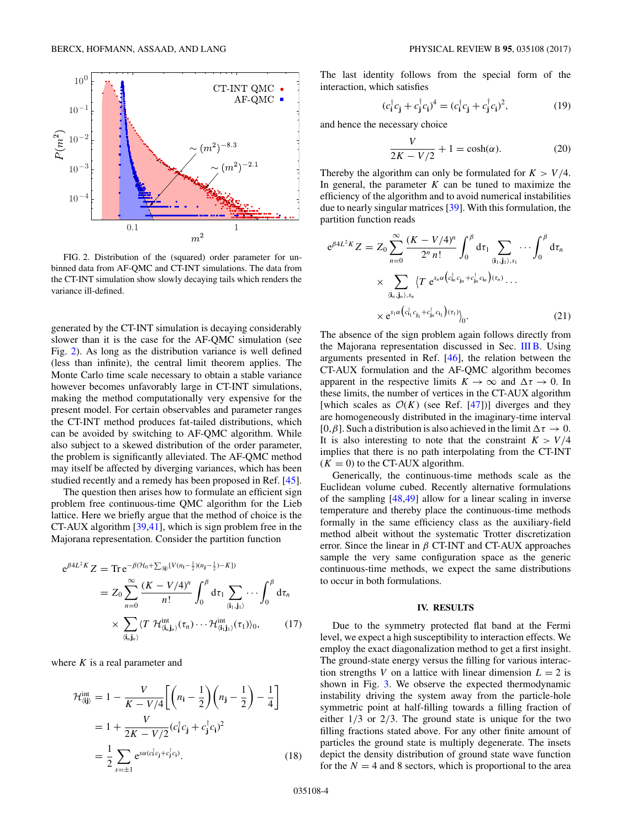<span id="page-3-0"></span>

FIG. 2. Distribution of the (squared) order parameter for unbinned data from AF-QMC and CT-INT simulations. The data from the CT-INT simulation show slowly decaying tails which renders the variance ill-defined.

generated by the CT-INT simulation is decaying considerably slower than it is the case for the AF-QMC simulation (see Fig. 2). As long as the distribution variance is well defined (less than infinite), the central limit theorem applies. The Monte Carlo time scale necessary to obtain a stable variance however becomes unfavorably large in CT-INT simulations, making the method computationally very expensive for the present model. For certain observables and parameter ranges the CT-INT method produces fat-tailed distributions, which can be avoided by switching to AF-QMC algorithm. While also subject to a skewed distribution of the order parameter, the problem is significantly alleviated. The AF-QMC method may itself be affected by diverging variances, which has been studied recently and a remedy has been proposed in Ref. [\[45\]](#page-7-0).

The question then arises how to formulate an efficient sign problem free continuous-time QMC algorithm for the Lieb lattice. Here we briefly argue that the method of choice is the CT-AUX algorithm [\[39,41\]](#page-7-0), which is sign problem free in the Majorana representation. Consider the partition function

$$
e^{\beta 4L^2 K} Z = \text{Tr} e^{-\beta (H_0 + \sum_{\langle ij \rangle} [V(n_i - \frac{1}{2})(n_j - \frac{1}{2}) - K])}
$$
  
=  $Z_0 \sum_{n=0}^{\infty} \frac{(K - V/4)^n}{n!} \int_0^{\beta} d\tau_1 \sum_{\langle i_1, j_1 \rangle} \cdots \int_0^{\beta} d\tau_n$   
 $\times \sum_{\langle i_n j_n \rangle} \langle T \mathcal{H}_{\langle i_n j_n \rangle}^{\text{int}}(\tau_n) \cdots \mathcal{H}_{\langle i_1, j_1 \rangle}^{\text{int}}(\tau_1) \rangle_0, \qquad (17)$ 

where  $K$  is a real parameter and

$$
\mathcal{H}_{\langle ij\rangle}^{\text{int}} = 1 - \frac{V}{K - V/4} \bigg[ \bigg( n_i - \frac{1}{2} \bigg) \bigg( n_j - \frac{1}{2} \bigg) - \frac{1}{4} \bigg]
$$
  
=  $1 + \frac{V}{2K - V/2} (c_i^{\dagger} c_j + c_j^{\dagger} c_i)^2$   
=  $\frac{1}{2} \sum_{s=\pm 1} e^{s\alpha (c_i^{\dagger} c_j + c_j^{\dagger} c_i)}.$  (18)

The last identity follows from the special form of the interaction, which satisfies

$$
(c_i^{\dagger} c_j + c_j^{\dagger} c_i)^4 = (c_i^{\dagger} c_j + c_j^{\dagger} c_i)^2,\tag{19}
$$

and hence the necessary choice

$$
\frac{V}{2K - V/2} + 1 = \cosh(\alpha). \tag{20}
$$

Thereby the algorithm can only be formulated for  $K > V/4$ . In general, the parameter  $K$  can be tuned to maximize the efficiency of the algorithm and to avoid numerical instabilities due to nearly singular matrices [\[39\]](#page-7-0). With this formulation, the partition function reads

$$
e^{\beta 4L^2 K} Z = Z_0 \sum_{n=0}^{\infty} \frac{(K - V/4)^n}{2^n n!} \int_0^{\beta} d\tau_1 \sum_{\langle i_1, j_1 \rangle, s_1} \cdots \int_0^{\beta} d\tau_n
$$
  
 
$$
\times \sum_{\langle i_n, j_n \rangle, s_n} \langle T e^{s_n \alpha \left( c_{i_n}^{\dagger} c_{j_n} + c_{j_n}^{\dagger} c_{i_n} \right) (\tau_n)} \cdots
$$
  
 
$$
\times e^{s_1 \alpha \left( c_{i_1}^{\dagger} c_{j_1} + c_{j_n}^{\dagger} c_{i_1} \right) (\tau_1)} \rangle_0.
$$
 (21)

The absence of the sign problem again follows directly from the Majorana representation discussed in Sec. [III B.](#page-2-0) Using arguments presented in Ref. [\[46\]](#page-7-0), the relation between the CT-AUX formulation and the AF-QMC algorithm becomes apparent in the respective limits  $K \to \infty$  and  $\Delta \tau \to 0$ . In these limits, the number of vertices in the CT-AUX algorithm [which scales as  $\mathcal{O}(K)$  (see Ref. [\[47\]](#page-7-0))] diverges and they are homogeneously distributed in the imaginary-time interval [0,  $\beta$ ]. Such a distribution is also achieved in the limit  $\Delta \tau \rightarrow 0$ . It is also interesting to note that the constraint  $K > V/4$ implies that there is no path interpolating from the CT-INT  $(K = 0)$  to the CT-AUX algorithm.

Generically, the continuous-time methods scale as the Euclidean volume cubed. Recently alternative formulations of the sampling [\[48,49\]](#page-7-0) allow for a linear scaling in inverse temperature and thereby place the continuous-time methods formally in the same efficiency class as the auxiliary-field method albeit without the systematic Trotter discretization error. Since the linear in *β* CT-INT and CT-AUX approaches sample the very same configuration space as the generic continuous-time methods, we expect the same distributions to occur in both formulations.

### **IV. RESULTS**

Due to the symmetry protected flat band at the Fermi level, we expect a high susceptibility to interaction effects. We employ the exact diagonalization method to get a first insight. The ground-state energy versus the filling for various interaction strengths *V* on a lattice with linear dimension  $L = 2$  is shown in Fig. [3.](#page-4-0) We observe the expected thermodynamic instability driving the system away from the particle-hole symmetric point at half-filling towards a filling fraction of either 1*/*3 or 2*/*3. The ground state is unique for the two filling fractions stated above. For any other finite amount of particles the ground state is multiply degenerate. The insets depict the density distribution of ground state wave function for the  $N = 4$  and 8 sectors, which is proportional to the area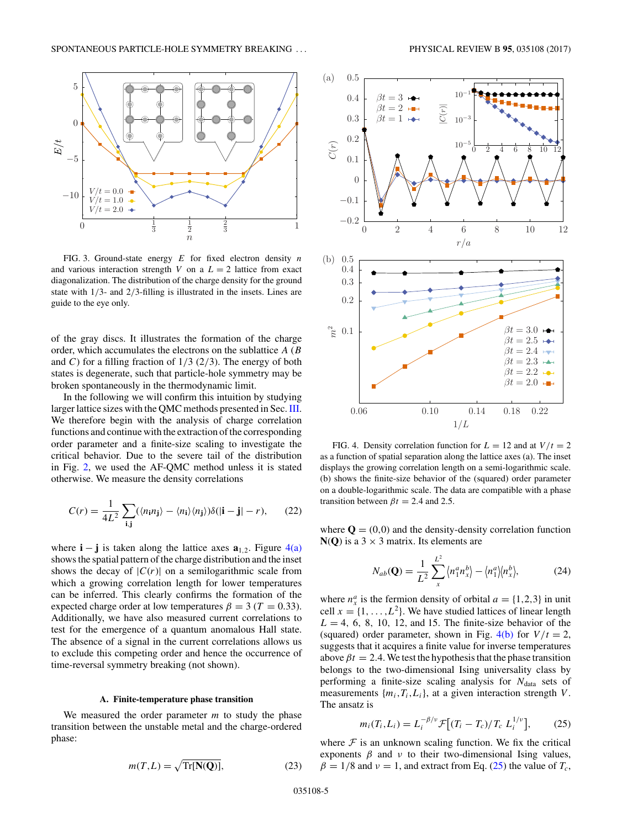<span id="page-4-0"></span>

FIG. 3. Ground-state energy *E* for fixed electron density *n* and various interaction strength *V* on a  $L = 2$  lattice from exact diagonalization. The distribution of the charge density for the ground state with 1*/*3- and 2*/*3-filling is illustrated in the insets. Lines are guide to the eye only.

of the gray discs. It illustrates the formation of the charge order, which accumulates the electrons on the sublattice *A* (*B* and *C*) for a filling fraction of 1*/*3 (2*/*3). The energy of both states is degenerate, such that particle-hole symmetry may be broken spontaneously in the thermodynamic limit.

In the following we will confirm this intuition by studying larger lattice sizes with the QMC methods presented in Sec. [III.](#page-1-0) We therefore begin with the analysis of charge correlation functions and continue with the extraction of the corresponding order parameter and a finite-size scaling to investigate the critical behavior. Due to the severe tail of the distribution in Fig. [2,](#page-3-0) we used the AF-QMC method unless it is stated otherwise. We measure the density correlations

$$
C(r) = \frac{1}{4L^2} \sum_{\mathbf{i}, \mathbf{j}} (\langle n_{\mathbf{i}} n_{\mathbf{j}} \rangle - \langle n_{\mathbf{i}} \rangle \langle n_{\mathbf{j}} \rangle) \delta(|\mathbf{i} - \mathbf{j}| - r), \qquad (22)
$$

where  $\mathbf{i} - \mathbf{j}$  is taken along the lattice axes  $\mathbf{a}_{1,2}$ . Figure 4(a) shows the spatial pattern of the charge distribution and the inset shows the decay of  $|C(r)|$  on a semilogarithmic scale from which a growing correlation length for lower temperatures can be inferred. This clearly confirms the formation of the expected charge order at low temperatures  $\beta = 3$  (*T* = 0.33). Additionally, we have also measured current correlations to test for the emergence of a quantum anomalous Hall state. The absence of a signal in the current correlations allows us to exclude this competing order and hence the occurrence of time-reversal symmetry breaking (not shown).

#### **A. Finite-temperature phase transition**

We measured the order parameter *m* to study the phase transition between the unstable metal and the charge-ordered phase:

$$
m(T, L) = \sqrt{\text{Tr}[\mathbf{N}(\mathbf{Q})]},\tag{23}
$$



FIG. 4. Density correlation function for  $L = 12$  and at  $V/t = 2$ as a function of spatial separation along the lattice axes (a). The inset displays the growing correlation length on a semi-logarithmic scale. (b) shows the finite-size behavior of the (squared) order parameter on a double-logarithmic scale. The data are compatible with a phase transition between  $\beta t = 2.4$  and 2.5.

where  $\mathbf{Q} = (0,0)$  and the density-density correlation function  $N(Q)$  is a 3  $\times$  3 matrix. Its elements are

$$
N_{ab}(\mathbf{Q}) = \frac{1}{L^2} \sum_{x}^{L^2} \langle n_1^a n_x^b \rangle - \langle n_1^a \rangle \langle n_x^b \rangle, \tag{24}
$$

where  $n_x^a$  is the fermion density of orbital  $a = \{1, 2, 3\}$  in unit cell  $x = \{1, ..., L^2\}$ . We have studied lattices of linear length  $L = 4, 6, 8, 10, 12,$  and 15. The finite-size behavior of the (squared) order parameter, shown in Fig.  $4(b)$  for  $V/t = 2$ , suggests that it acquires a finite value for inverse temperatures above  $\beta t = 2.4$ . We test the hypothesis that the phase transition belongs to the two-dimensional Ising universality class by performing a finite-size scaling analysis for *N*<sub>data</sub> sets of measurements  $\{m_i, T_i, L_i\}$ , at a given interaction strength *V*. The ansatz is

$$
m_i(T_i, L_i) = L_i^{-\beta/\nu} \mathcal{F} \big[ (T_i - T_c) / T_c \ L_i^{1/\nu} \big], \qquad (25)
$$

where  $F$  is an unknown scaling function. We fix the critical exponents  $\beta$  and  $\nu$  to their two-dimensional Ising values,  $\beta = 1/8$  and  $\nu = 1$ , and extract from Eq. (25) the value of  $T_c$ ,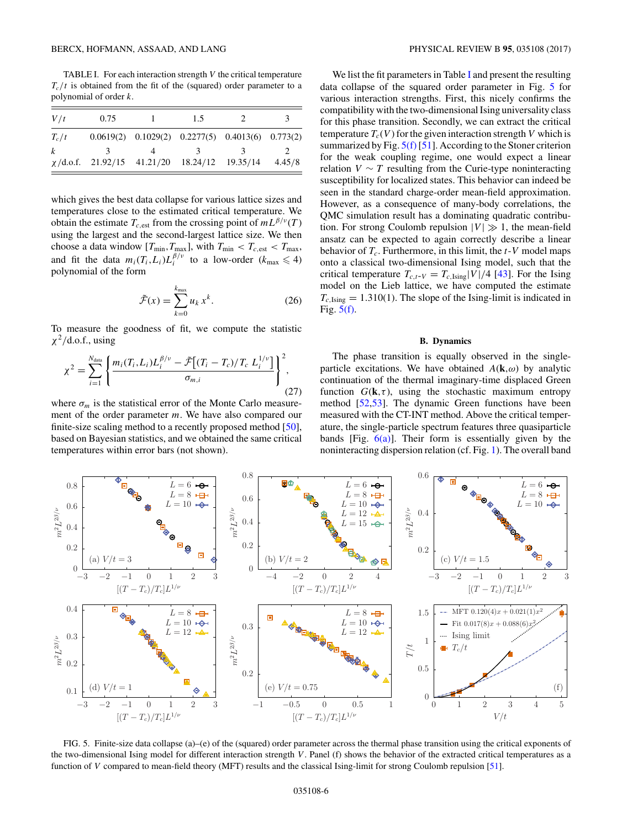TABLE I. For each interaction strength *V* the critical temperature  $T_c/t$  is obtained from the fit of the (squared) order parameter to a polynomial of order *k*.

| V/t     | 0.75                                               | 1.5                                                        |        |
|---------|----------------------------------------------------|------------------------------------------------------------|--------|
| $T_c/t$ |                                                    | $0.0619(2)$ $0.1029(2)$ $0.2277(5)$ $0.4013(6)$ $0.773(2)$ |        |
| k       | $\chi$ /d.o.f. 21.92/15 41.21/20 18.24/12 19.35/14 |                                                            | 4.45/8 |

which gives the best data collapse for various lattice sizes and temperatures close to the estimated critical temperature. We obtain the estimate  $T_{c,est}$  from the crossing point of  $mL^{\beta/\nu}(T)$ using the largest and the second-largest lattice size. We then choose a data window  $[T_{min}, T_{max}]$ , with  $T_{min} < T_{c,est} < T_{max}$ , and fit the data  $m_i(T_i, L_i)L_i^{\beta/\nu}$  to a low-order  $(k_{\text{max}} \leq 4)$ polynomial of the form

$$
\tilde{\mathcal{F}}(x) = \sum_{k=0}^{k_{\text{max}}} u_k x^k.
$$
 (26)

To measure the goodness of fit, we compute the statistic *χ*2*/*d.o.f., using

$$
\chi^{2} = \sum_{i=1}^{N_{\text{data}}} \left\{ \frac{m_{i}(T_{i}, L_{i}) L_{i}^{\beta/\nu} - \tilde{\mathcal{F}} \left[ (T_{i} - T_{c}) / T_{c} L_{i}^{1/\nu} \right]}{\sigma_{m,i}} \right\}^{2},\tag{27}
$$

where  $\sigma_m$  is the statistical error of the Monte Carlo measurement of the order parameter *m*. We have also compared our finite-size scaling method to a recently proposed method [\[50\]](#page-7-0), based on Bayesian statistics, and we obtained the same critical temperatures within error bars (not shown).

We list the fit parameters in Table I and present the resulting data collapse of the squared order parameter in Fig. 5 for various interaction strengths. First, this nicely confirms the compatibility with the two-dimensional Ising universality class for this phase transition. Secondly, we can extract the critical temperature  $T_c(V)$  for the given interaction strength V which is summarized by Fig.  $5(f)$ [\[51\]](#page-7-0). According to the Stoner criterion for the weak coupling regime, one would expect a linear relation  $V \sim T$  resulting from the Curie-type noninteracting susceptibility for localized states. This behavior can indeed be seen in the standard charge-order mean-field approximation. However, as a consequence of many-body correlations, the QMC simulation result has a dominating quadratic contribution. For strong Coulomb repulsion  $|V| \gg 1$ , the mean-field ansatz can be expected to again correctly describe a linear behavior of  $T_c$ . Furthermore, in this limit, the  $t$ -*V* model maps onto a classical two-dimensional Ising model, such that the critical temperature  $T_{c,t-V} = T_{c,\text{Ising}} |V|/4$  [\[43\]](#page-7-0). For the Ising model on the Lieb lattice, we have computed the estimate  $T_{c,Ising} = 1.310(1)$ . The slope of the Ising-limit is indicated in Fig.  $5(f)$ .

#### **B. Dynamics**

The phase transition is equally observed in the singleparticle excitations. We have obtained  $A(\mathbf{k}, \omega)$  by analytic continuation of the thermal imaginary-time displaced Green function  $G(\mathbf{k}, \tau)$ , using the stochastic maximum entropy method [\[52,53\]](#page-7-0). The dynamic Green functions have been measured with the CT-INT method. Above the critical temperature, the single-particle spectrum features three quasiparticle bands [Fig.  $6(a)$ ]. Their form is essentially given by the noninteracting dispersion relation (cf. Fig. [1\)](#page-1-0). The overall band



FIG. 5. Finite-size data collapse (a)–(e) of the (squared) order parameter across the thermal phase transition using the critical exponents of the two-dimensional Ising model for different interaction strength *V* . Panel (f) shows the behavior of the extracted critical temperatures as a function of *V* compared to mean-field theory (MFT) results and the classical Ising-limit for strong Coulomb repulsion [\[51\]](#page-7-0).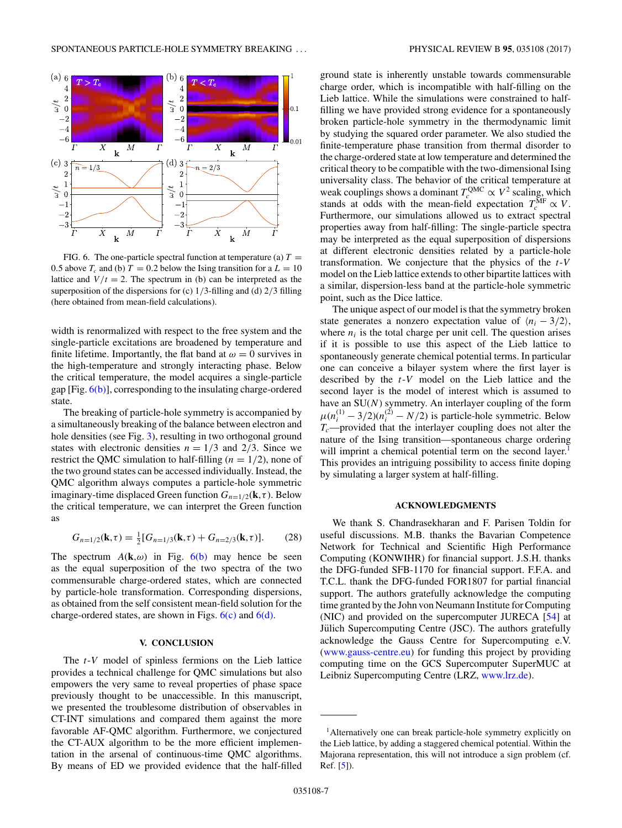<span id="page-6-0"></span>

FIG. 6. The one-particle spectral function at temperature (a)  $T =$ 0.5 above  $T_c$  and (b)  $T = 0.2$  below the Ising transition for a  $L = 10$ lattice and  $V/t = 2$ . The spectrum in (b) can be interpreted as the superposition of the dispersions for (c) 1*/*3-filling and (d) 2*/*3 filling (here obtained from mean-field calculations).

width is renormalized with respect to the free system and the single-particle excitations are broadened by temperature and finite lifetime. Importantly, the flat band at  $\omega = 0$  survives in the high-temperature and strongly interacting phase. Below the critical temperature, the model acquires a single-particle gap [Fig. 6(b)], corresponding to the insulating charge-ordered state.

The breaking of particle-hole symmetry is accompanied by a simultaneously breaking of the balance between electron and hole densities (see Fig. [3\)](#page-4-0), resulting in two orthogonal ground states with electronic densities  $n = 1/3$  and 2/3. Since we restrict the QMC simulation to half-filling  $(n = 1/2)$ , none of the two ground states can be accessed individually. Instead, the QMC algorithm always computes a particle-hole symmetric imaginary-time displaced Green function  $G_{n=1/2}(\mathbf{k}, \tau)$ . Below the critical temperature, we can interpret the Green function as

$$
G_{n=1/2}(\mathbf{k},\tau) = \frac{1}{2} [G_{n=1/3}(\mathbf{k},\tau) + G_{n=2/3}(\mathbf{k},\tau)].
$$
 (28)

The spectrum  $A(\mathbf{k}, \omega)$  in Fig. 6(b) may hence be seen as the equal superposition of the two spectra of the two commensurable charge-ordered states, which are connected by particle-hole transformation. Corresponding dispersions, as obtained from the self consistent mean-field solution for the charge-ordered states, are shown in Figs.  $6(c)$  and  $6(d)$ .

# **V. CONCLUSION**

The *t*-*V* model of spinless fermions on the Lieb lattice provides a technical challenge for QMC simulations but also empowers the very same to reveal properties of phase space previously thought to be unaccessible. In this manuscript, we presented the troublesome distribution of observables in CT-INT simulations and compared them against the more favorable AF-QMC algorithm. Furthermore, we conjectured the CT-AUX algorithm to be the more efficient implementation in the arsenal of continuous-time QMC algorithms. By means of ED we provided evidence that the half-filled ground state is inherently unstable towards commensurable charge order, which is incompatible with half-filling on the Lieb lattice. While the simulations were constrained to halffilling we have provided strong evidence for a spontaneously broken particle-hole symmetry in the thermodynamic limit by studying the squared order parameter. We also studied the finite-temperature phase transition from thermal disorder to the charge-ordered state at low temperature and determined the critical theory to be compatible with the two-dimensional Ising universality class. The behavior of the critical temperature at weak couplings shows a dominant  $T_c^{\text{QMC}} \propto V^2$  scaling, which stands at odds with the mean-field expectation  $T_c^{\text{MF}} \propto V$ . Furthermore, our simulations allowed us to extract spectral properties away from half-filling: The single-particle spectra may be interpreted as the equal superposition of dispersions at different electronic densities related by a particle-hole transformation. We conjecture that the physics of the *t*-*V* model on the Lieb lattice extends to other bipartite lattices with a similar, dispersion-less band at the particle-hole symmetric point, such as the Dice lattice.

The unique aspect of our model is that the symmetry broken state generates a nonzero expectation value of  $\langle n_i - 3/2 \rangle$ , where  $n_i$  is the total charge per unit cell. The question arises if it is possible to use this aspect of the Lieb lattice to spontaneously generate chemical potential terms. In particular one can conceive a bilayer system where the first layer is described by the *t*-*V* model on the Lieb lattice and the second layer is the model of interest which is assumed to have an SU(*N*) symmetry. An interlayer coupling of the form  $\mu(n_i^{(1)} - 3/2)(n_i^{(2)} - N/2)$  is particle-hole symmetric. Below  $T_c$ —provided that the interlayer coupling does not alter the nature of the Ising transition—spontaneous charge ordering will imprint a chemical potential term on the second layer.<sup>1</sup> This provides an intriguing possibility to access finite doping by simulating a larger system at half-filling.

### **ACKNOWLEDGMENTS**

We thank S. Chandrasekharan and F. Parisen Toldin for useful discussions. M.B. thanks the Bavarian Competence Network for Technical and Scientific High Performance Computing (KONWIHR) for financial support. J.S.H. thanks the DFG-funded SFB-1170 for financial support. F.F.A. and T.C.L. thank the DFG-funded FOR1807 for partial financial support. The authors gratefully acknowledge the computing time granted by the John von Neumann Institute for Computing (NIC) and provided on the supercomputer JURECA [\[54\]](#page-7-0) at Jülich Supercomputing Centre (JSC). The authors gratefully acknowledge the Gauss Centre for Supercomputing e.V. [\(www.gauss-centre.eu\)](http://www.gauss-centre.eu) for funding this project by providing computing time on the GCS Supercomputer SuperMUC at Leibniz Supercomputing Centre (LRZ, [www.lrz.de\)](http://www.lrz.de).

<sup>1</sup>Alternatively one can break particle-hole symmetry explicitly on the Lieb lattice, by adding a staggered chemical potential. Within the Majorana representation, this will not introduce a sign problem (cf. Ref. [\[5\]](#page-7-0)).